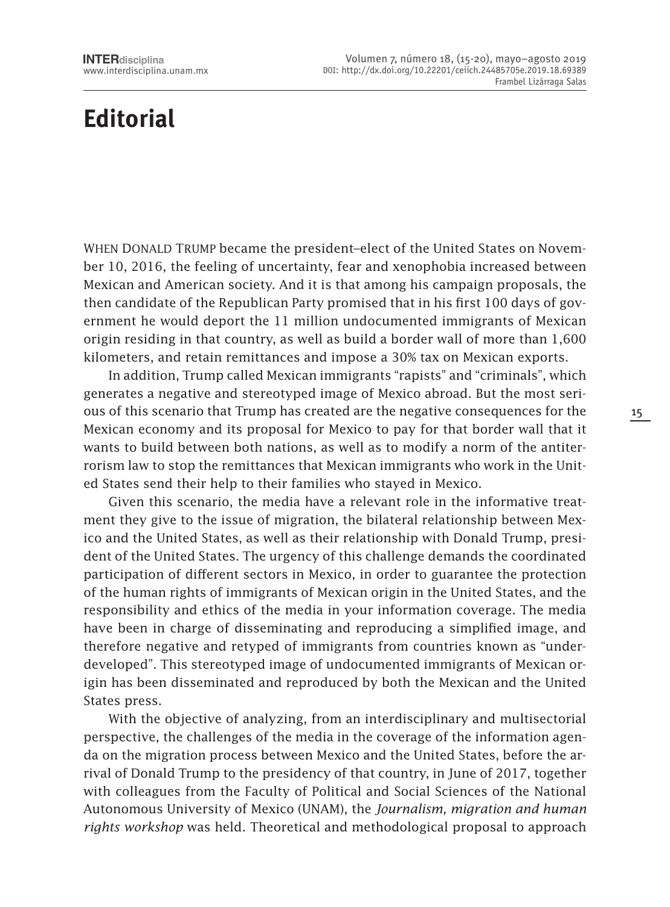## **Editorial**

When Donald Trump became the president–elect of the United States on November 10, 2016, the feeling of uncertainty, fear and xenophobia increased between Mexican and American society. And it is that among his campaign proposals, the then candidate of the Republican Party promised that in his first 100 days of government he would deport the 11 million undocumented immigrants of Mexican origin residing in that country, as well as build a border wall of more than 1,600 kilometers, and retain remittances and impose a 30% tax on Mexican exports.

In addition, Trump called Mexican immigrants "rapists" and "criminals", which generates a negative and stereotyped image of Mexico abroad. But the most serious of this scenario that Trump has created are the negative consequences for the Mexican economy and its proposal for Mexico to pay for that border wall that it wants to build between both nations, as well as to modify a norm of the antiterrorism law to stop the remittances that Mexican immigrants who work in the United States send their help to their families who stayed in Mexico.

Given this scenario, the media have a relevant role in the informative treatment they give to the issue of migration, the bilateral relationship between Mexico and the United States, as well as their relationship with Donald Trump, president of the United States. The urgency of this challenge demands the coordinated participation of different sectors in Mexico, in order to guarantee the protection of the human rights of immigrants of Mexican origin in the United States, and the responsibility and ethics of the media in your information coverage. The media have been in charge of disseminating and reproducing a simplified image, and therefore negative and retyped of immigrants from countries known as "underdeveloped". This stereotyped image of undocumented immigrants of Mexican origin has been disseminated and reproduced by both the Mexican and the United States press.

With the objective of analyzing, from an interdisciplinary and multisectorial perspective, the challenges of the media in the coverage of the information agenda on the migration process between Mexico and the United States, before the arrival of Donald Trump to the presidency of that country, in June of 2017, together with colleagues from the Faculty of Political and Social Sciences of the National Autonomous University of Mexico (UNAM), the *Journalism, migration and human rights workshop* was held. Theoretical and methodological proposal to approach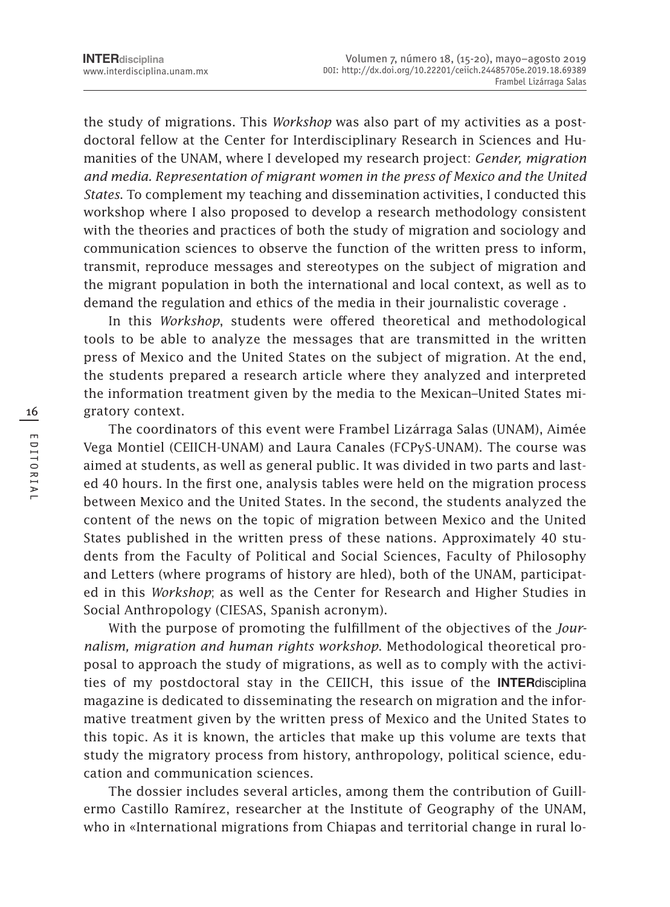the study of migrations. This *Workshop* was also part of my activities as a postdoctoral fellow at the Center for Interdisciplinary Research in Sciences and Humanities of the UNAM, where I developed my research project: *Gender, migration and media. Representation of migrant women in the press of Mexico and the United States*. To complement my teaching and dissemination activities, I conducted this workshop where I also proposed to develop a research methodology consistent with the theories and practices of both the study of migration and sociology and communication sciences to observe the function of the written press to inform, transmit, reproduce messages and stereotypes on the subject of migration and the migrant population in both the international and local context, as well as to demand the regulation and ethics of the media in their journalistic coverage .

In this *Workshop*, students were offered theoretical and methodological tools to be able to analyze the messages that are transmitted in the written press of Mexico and the United States on the subject of migration. At the end, the students prepared a research article where they analyzed and interpreted the information treatment given by the media to the Mexican–United States migratory context.

The coordinators of this event were Frambel Lizárraga Salas (UNAM), Aimée Vega Montiel (CEIICH-UNAM) and Laura Canales (FCPyS-UNAM). The course was aimed at students, as well as general public. It was divided in two parts and lasted 40 hours. In the first one, analysis tables were held on the migration process between Mexico and the United States. In the second, the students analyzed the content of the news on the topic of migration between Mexico and the United States published in the written press of these nations. Approximately 40 students from the Faculty of Political and Social Sciences, Faculty of Philosophy and Letters (where programs of history are hled), both of the UNAM, participated in this *Workshop*; as well as the Center for Research and Higher Studies in Social Anthropology (CIESAS, Spanish acronym).

With the purpose of promoting the fulfillment of the objectives of the *Journalism, migration and human rights workshop*. Methodological theoretical proposal to approach the study of migrations, as well as to comply with the activities of my postdoctoral stay in the CEIICH, this issue of the **INTER**disciplina magazine is dedicated to disseminating the research on migration and the informative treatment given by the written press of Mexico and the United States to this topic. As it is known, the articles that make up this volume are texts that study the migratory process from history, anthropology, political science, education and communication sciences.

The dossier includes several articles, among them the contribution of Guillermo Castillo Ramírez, researcher at the Institute of Geography of the UNAM, who in «International migrations from Chiapas and territorial change in rural lo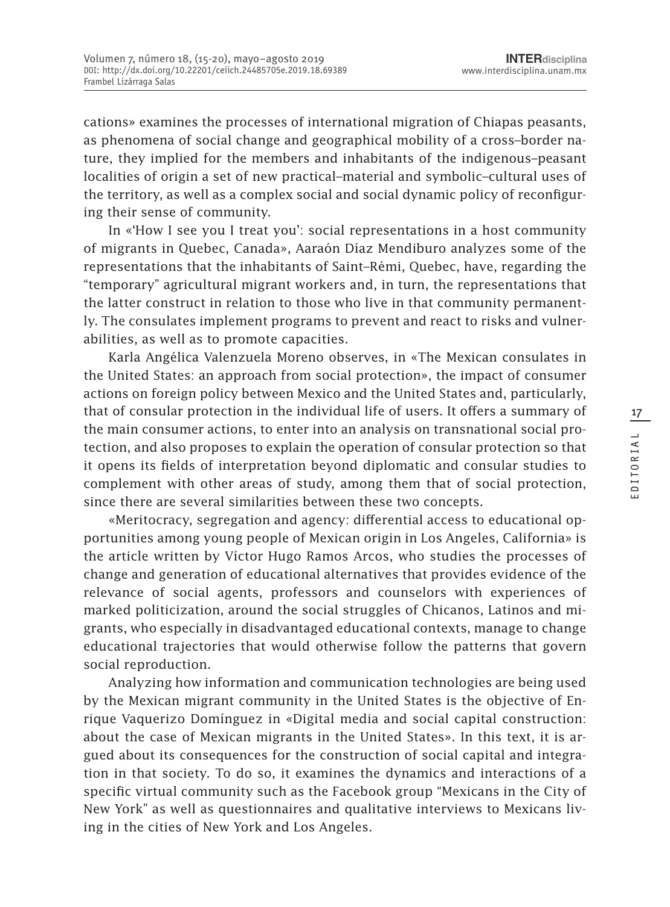cations» examines the processes of international migration of Chiapas peasants, as phenomena of social change and geographical mobility of a cross–border nature, they implied for the members and inhabitants of the indigenous–peasant localities of origin a set of new practical–material and symbolic–cultural uses of the territory, as well as a complex social and social dynamic policy of reconfiguring their sense of community.

In «'How I see you I treat you': social representations in a host community of migrants in Quebec, Canada», Aaraón Díaz Mendiburo analyzes some of the representations that the inhabitants of Saint–Rémi, Quebec, have, regarding the "temporary" agricultural migrant workers and, in turn, the representations that the latter construct in relation to those who live in that community permanently. The consulates implement programs to prevent and react to risks and vulnerabilities, as well as to promote capacities.

Karla Angélica Valenzuela Moreno observes, in «The Mexican consulates in the United States: an approach from social protection», the impact of consumer actions on foreign policy between Mexico and the United States and, particularly, that of consular protection in the individual life of users. It offers a summary of the main consumer actions, to enter into an analysis on transnational social protection, and also proposes to explain the operation of consular protection so that it opens its fields of interpretation beyond diplomatic and consular studies to complement with other areas of study, among them that of social protection, since there are several similarities between these two concepts.

«Meritocracy, segregation and agency: differential access to educational opportunities among young people of Mexican origin in Los Angeles, California» is the article written by Víctor Hugo Ramos Arcos, who studies the processes of change and generation of educational alternatives that provides evidence of the relevance of social agents, professors and counselors with experiences of marked politicization, around the social struggles of Chicanos, Latinos and migrants, who especially in disadvantaged educational contexts, manage to change educational trajectories that would otherwise follow the patterns that govern social reproduction.

Analyzing how information and communication technologies are being used by the Mexican migrant community in the United States is the objective of Enrique Vaquerizo Domínguez in «Digital media and social capital construction: about the case of Mexican migrants in the United States». In this text, it is argued about its consequences for the construction of social capital and integration in that society. To do so, it examines the dynamics and interactions of a specific virtual community such as the Facebook group "Mexicans in the City of New York" as well as questionnaires and qualitative interviews to Mexicans living in the cities of New York and Los Angeles.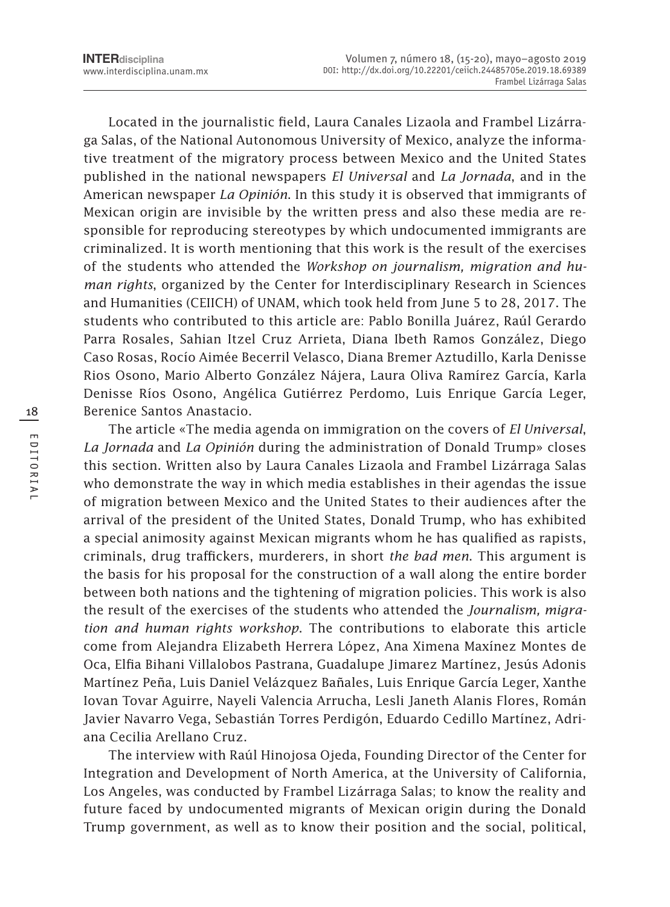Located in the journalistic field, Laura Canales Lizaola and Frambel Lizárraga Salas, of the National Autonomous University of Mexico, analyze the informative treatment of the migratory process between Mexico and the United States published in the national newspapers *El Universal* and *La Jornada*, and in the American newspaper *La Opinión*. In this study it is observed that immigrants of Mexican origin are invisible by the written press and also these media are responsible for reproducing stereotypes by which undocumented immigrants are criminalized. It is worth mentioning that this work is the result of the exercises of the students who attended the *Workshop on journalism, migration and human rights*, organized by the Center for Interdisciplinary Research in Sciences and Humanities (CEIICH) of UNAM, which took held from June 5 to 28, 2017. The students who contributed to this article are: Pablo Bonilla Juárez, Raúl Gerardo Parra Rosales, Sahian Itzel Cruz Arrieta, Diana Ibeth Ramos González, Diego Caso Rosas, Rocío Aimée Becerril Velasco, Diana Bremer Aztudillo, Karla Denisse Rios Osono, Mario Alberto González Nájera, Laura Oliva Ramírez García, Karla Denisse Ríos Osono, Angélica Gutiérrez Perdomo, Luis Enrique García Leger, Berenice Santos Anastacio.

The article «The media agenda on immigration on the covers of *El Universal*, *La Jornada* and *La Opinión* during the administration of Donald Trump» closes this section. Written also by Laura Canales Lizaola and Frambel Lizárraga Salas who demonstrate the way in which media establishes in their agendas the issue of migration between Mexico and the United States to their audiences after the arrival of the president of the United States, Donald Trump, who has exhibited a special animosity against Mexican migrants whom he has qualified as rapists, criminals, drug traffickers, murderers, in short *the bad men*. This argument is the basis for his proposal for the construction of a wall along the entire border between both nations and the tightening of migration policies. This work is also the result of the exercises of the students who attended the *Journalism, migration and human rights workshop*. The contributions to elaborate this article come from Alejandra Elizabeth Herrera López, Ana Ximena Maxínez Montes de Oca, Elfia Bihani Villalobos Pastrana, Guadalupe Jimarez Martínez, Jesús Adonis Martínez Peña, Luis Daniel Velázquez Bañales, Luis Enrique García Leger, Xanthe Iovan Tovar Aguirre, Nayeli Valencia Arrucha, Lesli Janeth Alanis Flores, Román Javier Navarro Vega, Sebastián Torres Perdigón, Eduardo Cedillo Martínez, Adriana Cecilia Arellano Cruz.

The interview with Raúl Hinojosa Ojeda, Founding Director of the Center for Integration and Development of North America, at the University of California, Los Angeles, was conducted by Frambel Lizárraga Salas; to know the reality and future faced by undocumented migrants of Mexican origin during the Donald Trump government, as well as to know their position and the social, political,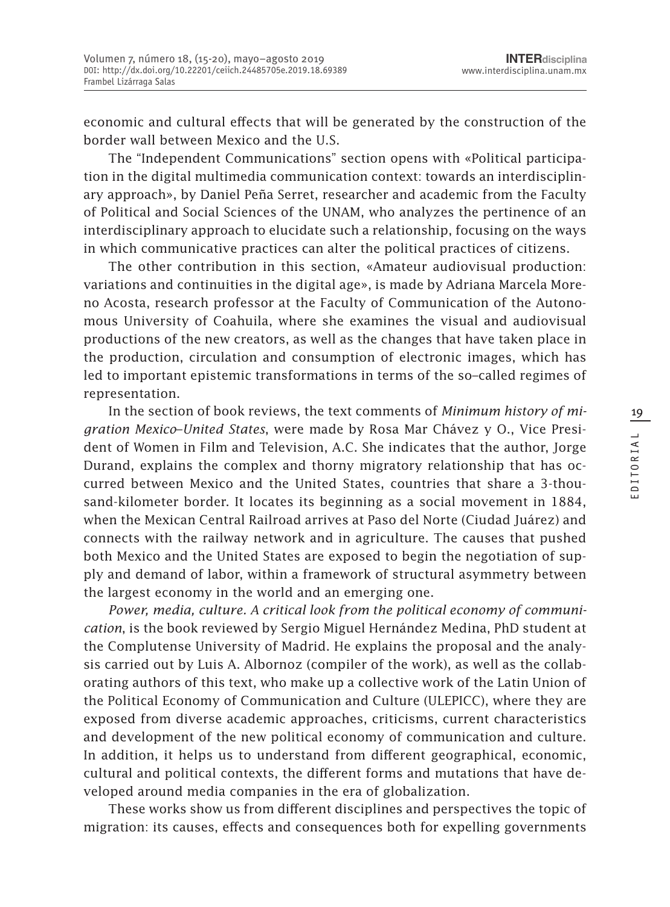economic and cultural effects that will be generated by the construction of the border wall between Mexico and the U.S.

The "Independent Communications" section opens with «Political participation in the digital multimedia communication context: towards an interdisciplinary approach», by Daniel Peña Serret, researcher and academic from the Faculty of Political and Social Sciences of the UNAM, who analyzes the pertinence of an interdisciplinary approach to elucidate such a relationship, focusing on the ways in which communicative practices can alter the political practices of citizens.

The other contribution in this section, «Amateur audiovisual production: variations and continuities in the digital age», is made by Adriana Marcela Moreno Acosta, research professor at the Faculty of Communication of the Autonomous University of Coahuila, where she examines the visual and audiovisual productions of the new creators, as well as the changes that have taken place in the production, circulation and consumption of electronic images, which has led to important epistemic transformations in terms of the so–called regimes of representation.

In the section of book reviews, the text comments of *Minimum history of migration Mexico–United States*, were made by Rosa Mar Chávez y O., Vice President of Women in Film and Television, A.C. She indicates that the author, Jorge Durand, explains the complex and thorny migratory relationship that has occurred between Mexico and the United States, countries that share a 3-thousand-kilometer border. It locates its beginning as a social movement in 1884, when the Mexican Central Railroad arrives at Paso del Norte (Ciudad Juárez) and connects with the railway network and in agriculture. The causes that pushed both Mexico and the United States are exposed to begin the negotiation of supply and demand of labor, within a framework of structural asymmetry between the largest economy in the world and an emerging one.

*Power, media, culture. A critical look from the political economy of communication*, is the book reviewed by Sergio Miguel Hernández Medina, PhD student at the Complutense University of Madrid. He explains the proposal and the analysis carried out by Luis A. Albornoz (compiler of the work), as well as the collaborating authors of this text, who make up a collective work of the Latin Union of the Political Economy of Communication and Culture (ULEPICC), where they are exposed from diverse academic approaches, criticisms, current characteristics and development of the new political economy of communication and culture. In addition, it helps us to understand from different geographical, economic, cultural and political contexts, the different forms and mutations that have developed around media companies in the era of globalization.

These works show us from different disciplines and perspectives the topic of migration: its causes, effects and consequences both for expelling governments